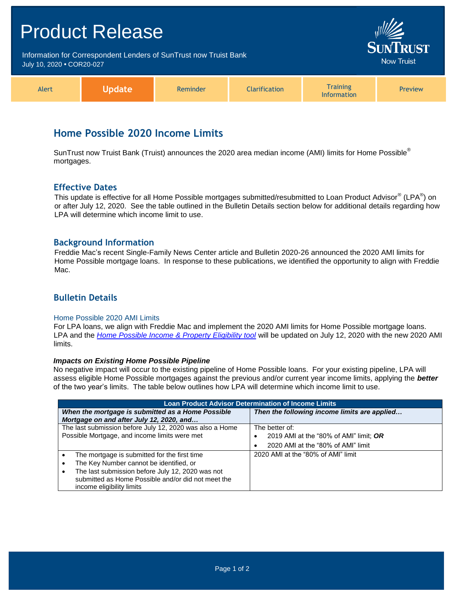# Product Release Information for Correspondent Lenders of SunTrust now Truist Bank **Now Truist** July 10, 2020 **•** COR20-027 **Training** Alert **Update** Reminder **Clarification** Preview Information

# **Home Possible 2020 Income Limits**

SunTrust now Truist Bank (Truist) announces the 2020 area median income (AMI) limits for Home Possible<sup>®</sup> mortgages.

### **Effective Dates**

This update is effective for all Home Possible mortgages submitted/resubmitted to Loan Product Advisor® (LPA®) on or after July 12, 2020. See the table outlined in the Bulletin Details section below for additional details regarding how LPA will determine which income limit to use.

### **Background Information**

Freddie Mac's recent Single-Family News Center article and Bulletin 2020-26 announced the 2020 AMI limits for Home Possible mortgage loans. In response to these publications, we identified the opportunity to align with Freddie Mac.

## **Bulletin Details**

#### Home Possible 2020 AMI Limits

For LPA loans, we align with Freddie Mac and implement the 2020 AMI limits for Home Possible mortgage loans. LPA and the *[Home Possible Income & Property Eligibility tool](http://www.freddiemac.com/homepossible/eligibility.html)* will be updated on July 12, 2020 with the new 2020 AMI limits.

#### *Impacts on Existing Home Possible Pipeline*

No negative impact will occur to the existing pipeline of Home Possible loans. For your existing pipeline, LPA will assess eligible Home Possible mortgages against the previous and/or current year income limits, applying the *better* of the two year's limits. The table below outlines how LPA will determine which income limit to use.

| <b>Loan Product Advisor Determination of Income Limits</b>                                    |                                              |
|-----------------------------------------------------------------------------------------------|----------------------------------------------|
| When the mortgage is submitted as a Home Possible<br>Mortgage on and after July 12, 2020, and | Then the following income limits are applied |
| The last submission before July 12, 2020 was also a Home                                      | The better of:                               |
| Possible Mortgage, and income limits were met                                                 | 2019 AMI at the "80% of AMI" limit; OR       |
|                                                                                               | 2020 AMI at the "80% of AMI" limit           |
| The mortgage is submitted for the first time                                                  | 2020 AMI at the "80% of AMI" limit           |
| The Key Number cannot be identified, or                                                       |                                              |
| The last submission before July 12, 2020 was not                                              |                                              |
| submitted as Home Possible and/or did not meet the                                            |                                              |
| income eligibility limits                                                                     |                                              |